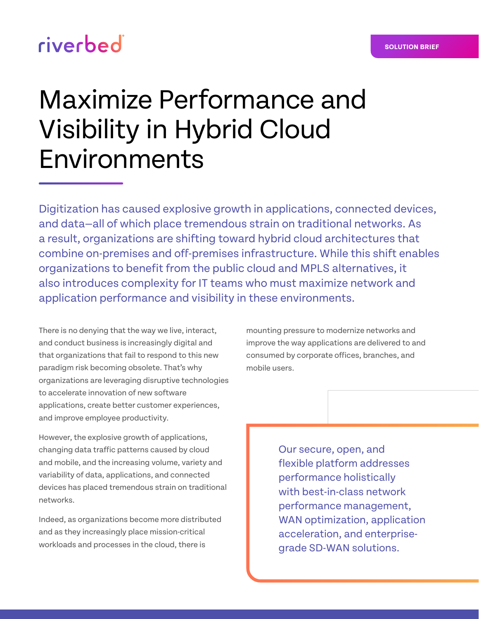# riverbed

# Maximize Performance and Visibility in Hybrid Cloud Environments

Digitization has caused explosive growth in applications, connected devices, and data—all of which place tremendous strain on traditional networks. As a result, organizations are shifting toward hybrid cloud architectures that combine on-premises and off-premises infrastructure. While this shift enables organizations to benefit from the public cloud and MPLS alternatives, it also introduces complexity for IT teams who must maximize network and application performance and visibility in these environments.

There is no denying that the way we live, interact, and conduct business is increasingly digital and that organizations that fail to respond to this new paradigm risk becoming obsolete. That's why organizations are leveraging disruptive technologies to accelerate innovation of new software applications, create better customer experiences, and improve employee productivity.

However, the explosive growth of applications, changing data traffic patterns caused by cloud and mobile, and the increasing volume, variety and variability of data, applications, and connected devices has placed tremendous strain on traditional networks.

Indeed, as organizations become more distributed and as they increasingly place mission-critical workloads and processes in the cloud, there is

mounting pressure to modernize networks and improve the way applications are delivered to and consumed by corporate offices, branches, and mobile users.

> Our secure, open, and flexible platform addresses performance holistically with best-in-class network performance management, WAN optimization, application acceleration, and enterprisegrade SD-WAN solutions.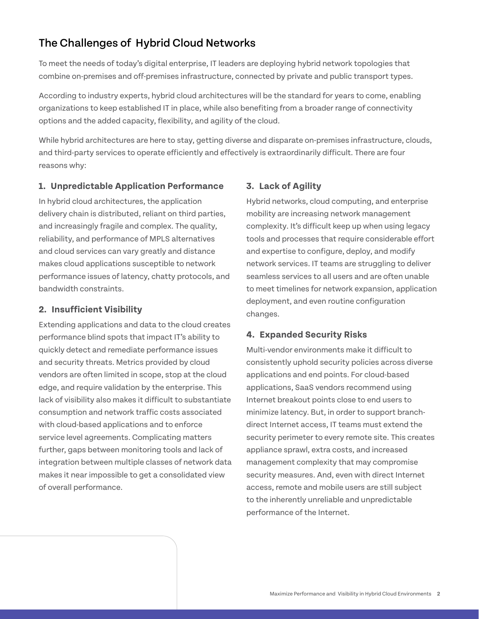## The Challenges of Hybrid Cloud Networks

To meet the needs of today's digital enterprise, IT leaders are deploying hybrid network topologies that combine on-premises and off-premises infrastructure, connected by private and public transport types.

According to industry experts, hybrid cloud architectures will be the standard for years to come, enabling organizations to keep established IT in place, while also benefiting from a broader range of connectivity options and the added capacity, flexibility, and agility of the cloud.

While hybrid architectures are here to stay, getting diverse and disparate on-premises infrastructure, clouds, and third-party services to operate efficiently and effectively is extraordinarily difficult. There are four reasons why:

#### **1. Unpredictable Application Performance**

In hybrid cloud architectures, the application delivery chain is distributed, reliant on third parties, and increasingly fragile and complex. The quality, reliability, and performance of MPLS alternatives and cloud services can vary greatly and distance makes cloud applications susceptible to network performance issues of latency, chatty protocols, and bandwidth constraints.

#### **2. Insufficient Visibility**

Extending applications and data to the cloud creates performance blind spots that impact IT's ability to quickly detect and remediate performance issues and security threats. Metrics provided by cloud vendors are often limited in scope, stop at the cloud edge, and require validation by the enterprise. This lack of visibility also makes it difficult to substantiate consumption and network traffic costs associated with cloud-based applications and to enforce service level agreements. Complicating matters further, gaps between monitoring tools and lack of integration between multiple classes of network data makes it near impossible to get a consolidated view of overall performance.

#### **3. Lack of Agility**

Hybrid networks, cloud computing, and enterprise mobility are increasing network management complexity. It's difficult keep up when using legacy tools and processes that require considerable effort and expertise to configure, deploy, and modify network services. IT teams are struggling to deliver seamless services to all users and are often unable to meet timelines for network expansion, application deployment, and even routine configuration changes.

#### **4. Expanded Security Risks**

Multi-vendor environments make it difficult to consistently uphold security policies across diverse applications and end points. For cloud-based applications, SaaS vendors recommend using Internet breakout points close to end users to minimize latency. But, in order to support branchdirect Internet access, IT teams must extend the security perimeter to every remote site. This creates appliance sprawl, extra costs, and increased management complexity that may compromise security measures. And, even with direct Internet access, remote and mobile users are still subject to the inherently unreliable and unpredictable performance of the Internet.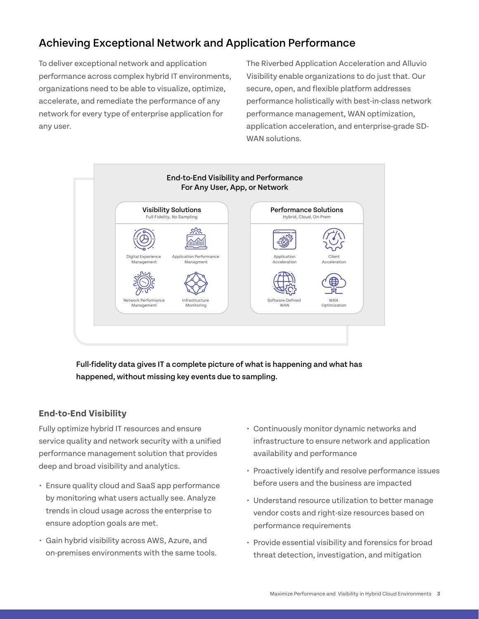## Achieving Exceptional Network and Application Performance

To deliver exceptional network and application performance across complex hybrid IT environments, organizations need to be able to visualize, optimize, accelerate, and remediate the performance of any network for every type of enterprise application for any user.

The Riverbed Application Acceleration and Alluvio Visibility enable organizations to do just that. Our secure, open, and flexible platform addresses performance holistically with best-in-class network performance management, WAN optimization, application acceleration, and enterprise-grade SD-WAN solutions.



Full-fidelity data gives IT a complete picture of what is happening and what has happened, without missing key events due to sampling.

#### **End-to-End Visibility**

Fully optimize hybrid IT resources and ensure service quality and network security with a unified performance management solution that provides deep and broad visibility and analytics.

- **•** Ensure quality cloud and SaaS app performance by monitoring what users actually see. Analyze trends in cloud usage across the enterprise to ensure adoption goals are met.
- **•** Gain hybrid visibility across AWS, Azure, and on-premises environments with the same tools.
- **•** Continuously monitor dynamic networks and infrastructure to ensure network and application availability and performance
- **•** Proactively identify and resolve performance issues before users and the business are impacted
- **•** Understand resource utilization to better manage vendor costs and right-size resources based on performance requirements
- **•** Provide essential visibility and forensics for broad threat detection, investigation, and mitigation